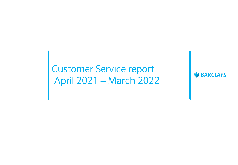### Customer Service report April 2021 – March 2022

**W** BARCLAYS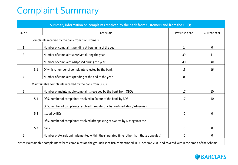## Complaint Summary

|                |     | Summary information on complaints received by the bank from customers and from the OBOs                                                               |               |                     |
|----------------|-----|-------------------------------------------------------------------------------------------------------------------------------------------------------|---------------|---------------------|
| Sr. No         |     | <b>Particulars</b>                                                                                                                                    | Previous Year | <b>Current Year</b> |
|                |     | Complaints received by the bank from its customers                                                                                                    |               |                     |
| $\mathbf{1}$   |     | Number of complaints pending at beginning of the year                                                                                                 | 1             | 0                   |
| $\overline{2}$ |     | Number of complaints received during the year                                                                                                         | 39            | 41                  |
| 3              |     | Number of complaints disposed during the year                                                                                                         | 40            | 40                  |
|                | 3.1 | Of which, number of complaints rejected by the bank                                                                                                   | 15            | 16                  |
| 4              |     | Number of complaints pending at the end of the year                                                                                                   | 0             | 1                   |
|                |     | Maintainable complaints received by the bank from OBOs                                                                                                |               |                     |
| 5              |     | Number of maintainable complaints received by the bank from OBOs                                                                                      | 17            | 10                  |
|                | 5.1 | Of 5, number of complaints resolved in favour of the bank by BOS                                                                                      | 17            | 10                  |
|                |     | Of 5, number of complaints resolved through conciliation/mediation/advisories                                                                         |               |                     |
|                | 5.2 | issued by BOs                                                                                                                                         | 0             | 0                   |
|                |     | Of 5, number of complaints resolved after passing of Awards by BOs against the                                                                        |               |                     |
|                | 5.3 | bank                                                                                                                                                  | 0             | 0                   |
| 6              |     | Number of Awards unimplemented within the stipulated time (other than those appealed)                                                                 | 0             | 0                   |
|                |     | Note: Maintainable complaints refer to complaints on the grounds specifically mentioned in BO Scheme 2006 and covered within the ambit of the Scheme. |               |                     |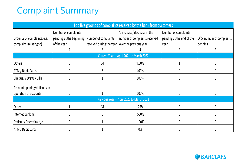# Complaint Summary

| Top five grounds of complaints received by the bank from customers |                                                                       |                          |                                                              |                                                   |                            |
|--------------------------------------------------------------------|-----------------------------------------------------------------------|--------------------------|--------------------------------------------------------------|---------------------------------------------------|----------------------------|
| Grounds of complaints, (i.e.                                       | Number of complaints<br>pending at the beginning Number of complaints |                          | % increase/ decrease in the<br>number of complaints received | Number of complaints<br>pending at the end of the | Of 5, number of complaints |
| complaints relating to)                                            | of the year                                                           | received during the year | over the previous year                                       | year                                              | pending                    |
|                                                                    |                                                                       |                          |                                                              |                                                   | 6                          |
|                                                                    |                                                                       |                          | Current Year - April 2021 to March 2022                      |                                                   |                            |
| Others                                                             | 0                                                                     | 34                       | 9.60%                                                        |                                                   | 0                          |
| <b>ATM</b> / Debit Cards                                           |                                                                       |                          | 400%                                                         | 0                                                 |                            |
| Cheques / Drafts / Bills                                           |                                                                       |                          | 100%                                                         | 0                                                 |                            |
| Account opening/difficulty in                                      |                                                                       |                          |                                                              |                                                   |                            |
| operation of accounts                                              | 0                                                                     |                          | 100%                                                         | 0                                                 |                            |
| Previous Year - April 2020 to March 2021                           |                                                                       |                          |                                                              |                                                   |                            |
| <b>Others</b>                                                      |                                                                       | 31                       | $-27%$                                                       | $\mathbf{0}$                                      | 0                          |
| Internet Banking                                                   |                                                                       | 6                        | 500%                                                         | 0                                                 |                            |
| Difficulty Operating a/c                                           |                                                                       |                          | 100%                                                         | 0                                                 |                            |
| <b>ATM</b> / Debit Cards                                           |                                                                       |                          | 0%                                                           | 0                                                 |                            |

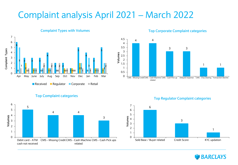#### Complaint analysis April 2021 – March 2022



#### **Complaint Types with Volumes**



#### **Top Corporate Complaint categories**





**Top Regulator Complaint categories**

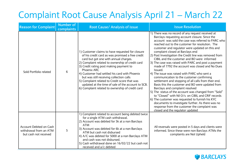## Complaint Root Cause Analysis April 21 – March 22

| <b>Reason for Complaint</b>                                                | <b>Number of</b><br>complaints | Root Cause/ Analysis of issue                                                                                                                                                                                                                                                                                                                                                                                                                                                                                       | <b>Issue Resolution</b>                                                                                                                                                                                                                                                                                                                                                                                                                                                                                                                                                                                                                                                                                                                                                                                                                                                                                                                                                                                                                                                                 |
|----------------------------------------------------------------------------|--------------------------------|---------------------------------------------------------------------------------------------------------------------------------------------------------------------------------------------------------------------------------------------------------------------------------------------------------------------------------------------------------------------------------------------------------------------------------------------------------------------------------------------------------------------|-----------------------------------------------------------------------------------------------------------------------------------------------------------------------------------------------------------------------------------------------------------------------------------------------------------------------------------------------------------------------------------------------------------------------------------------------------------------------------------------------------------------------------------------------------------------------------------------------------------------------------------------------------------------------------------------------------------------------------------------------------------------------------------------------------------------------------------------------------------------------------------------------------------------------------------------------------------------------------------------------------------------------------------------------------------------------------------------|
| Sold Portfolio related                                                     | 6                              | 1) Customer claims to have requested for closure<br>of his credit card as was promised a free credit<br>card but got one with annual charges.<br>2) Complaint related to ownership of credit card<br>3) Credit rating post making payment to<br>Phoenix ARC<br>4) Customer had settled his card with Phoenix<br>but was still receiving collection calls<br>5) Complaint related to Credit score that was<br>updated at the time of sale of the account to SCB.<br>6) Complaint related to ownership of credit card | 1) There was no record of any request received at<br>Barclays requesting account closure. Since the<br>account was sold the case was referred to PARC who<br>reached out to the customer for resolution. The<br>customer and regulator were updated on this and<br>complaint closed at Barclays end<br>2) Post Investigation the Credit line was removed from<br>CIBIL and the customer and BO were informed<br>3) The case was raised with PARC and post a payment<br>made of 7792 the account was closed and No Dues<br>Issued.<br>4) The issue was raised with PARC who sent a<br>communication to the customer confirming<br>settlement and stopping of all calls from their end.<br>Basis this the customer and BO were updated from<br>Barclays and complaint resolved<br>5) The status of the account was changed from "Sold"<br>to "Closed" with Nil O/s on CIBIL and CRIF records<br>6) The customer was requested to furnish his KYC<br>documents to investigate further. As there was no<br>response from the customer the complaint was<br>closed and the regulator updated |
| Account Debited on Cash<br>withdrawal from an ATM<br>but cash not received | 5                              | 1) Complaint related to account being debited twice<br>for a single ATM cash withdrawal.<br>2) Account was debited for 5k at a non Barclays<br><b>ATM</b><br>3) Account was debited for 6k at a non Barclays<br>ATM but cash not disbursed<br>4) A/C was debited for 5000 at a non Barclays ATM<br>and cash was not disbursed.<br>5) Cash withdrawal done on 16/02/22 but cash not<br>received and a/c debited                                                                                                      | All reversals were posted in 5 days and clients were<br>informed. Since these were non Barclays ATMs the<br>complaints are Not Upheld                                                                                                                                                                                                                                                                                                                                                                                                                                                                                                                                                                                                                                                                                                                                                                                                                                                                                                                                                   |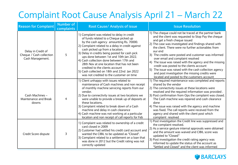### Complaint Root Cause Analysis April 21 – March 22

| <b>Reason for Complaint</b>                                        | <b>Number of</b><br>complaints | Root Cause/ Analysis of issue                                                                                                                                                                                                                                                                                                                                                                                                                                                                                                                 | <b>Issue Resolution</b>                                                                                                                                                                                                                                                                                                                                                                                                                                                                                                                                                                                                                  |
|--------------------------------------------------------------------|--------------------------------|-----------------------------------------------------------------------------------------------------------------------------------------------------------------------------------------------------------------------------------------------------------------------------------------------------------------------------------------------------------------------------------------------------------------------------------------------------------------------------------------------------------------------------------------------|------------------------------------------------------------------------------------------------------------------------------------------------------------------------------------------------------------------------------------------------------------------------------------------------------------------------------------------------------------------------------------------------------------------------------------------------------------------------------------------------------------------------------------------------------------------------------------------------------------------------------------------|
| Delay in Credit of<br>Cheque / Cash collection<br>Cash Management. | 5                              | 1) Complaint was related to delay in credit<br>of funds related to a Cheque picked up<br>by the cash agency amounting Rs. 70000.<br>2) Complaint related to a delay in credit against<br>cash picked up from a location.<br>3) Delay in credits being posted for cash pick<br>ups done between 1st and 10th Jan 2022.<br>4) Cash collection done between 17th and<br>28th Nov at one location that has not been<br>credited to the clients account<br>5) Cash collected on 18th and 22nd Jan 2022<br>was not credited to the customer on time | 1) The cheque could not be traced at the partner bank<br>and the client was requested to Stop Pay the cheque<br>and get a fresh cheque issued<br>2) The case was investigated and findings shared with<br>the client. There were no further actionables from<br>our end<br>3) The credits were posted and customer was informed<br>over email and complaint resolved<br>4) The issue was raised with the agency and the missing<br>credit was posted to the clients account<br>5) The issue was raised with the cash collection agency<br>and post investigation the missing credits were<br>located and posted to the customers account |
| Cash Machines -<br>Maintenance and Break<br>downs                  | 4                              | 1) Client unhappy with issues related to<br>maintenance of Cash machines and non receipt<br>of monthly machine servicing reports from our<br>vendor.<br>2) Due to connectivity issues at two locations we<br>were unable to provide a break up of deposits at<br>these locations.<br>3) Complaint related to break down of a Cash<br>machine and delay in cash clearance<br>4) Cash machine was not working at a particular<br>location and non receipt of call reports for Feb                                                               | 1) The required maintenance was completed and reports<br>shared by the vendor<br>2) The connectivity issues at these locations were<br>resolved and the required information was provided.<br>3) Post confirmation from Ops the complaint was closed.<br>The Cash machine was repaired and cash clearance<br>done<br>4) The issue was raised with the agency and machine<br>was fixed. The call reports were received from the<br>agency and shared with the client post which<br>complaint resolved                                                                                                                                     |
| Credit Score dispute                                               | 3                              | 1) Complaint was related to ownership of a credit<br>card closed in 2009<br>2) Customer had settled his credit card account and<br>wanted the CIBIL to be updated as "Closed".<br>3) Complaint related to a settlement on a loan that<br>was done in 2012 but the Credit rating was not<br>correctly updated                                                                                                                                                                                                                                  | 1) Post investigation the Credit line was suppressed and<br>the complaint resolved.<br>2) As a service gesture internal approvals were obtained<br>and the amount was waived and CIBIL score was<br>updated to "Closed"<br>3) Post investigation the credit rating agency was<br>informed to update the status of the account as<br>"Settled and Closed" and the client was informed                                                                                                                                                                                                                                                     |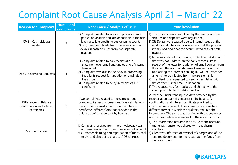## Complaint Root Cause Analysis April 21 – March 22

| <b>Reason for Complaint</b>                                         | <b>Number of</b><br>complaints | Root Cause/ Analysis of issue                                                                                                                                                                                                                                                                         | <b>Issue Resolution</b>                                                                                                                                                                                                                                                                                                                                                                                                                                                                                                                   |
|---------------------------------------------------------------------|--------------------------------|-------------------------------------------------------------------------------------------------------------------------------------------------------------------------------------------------------------------------------------------------------------------------------------------------------|-------------------------------------------------------------------------------------------------------------------------------------------------------------------------------------------------------------------------------------------------------------------------------------------------------------------------------------------------------------------------------------------------------------------------------------------------------------------------------------------------------------------------------------------|
| CMS - Cash pick ups<br>related                                      | 3                              | 1) Complaint related to late cash pick up from a<br>particular location and late deposition in the bank<br>leading to late credits to customers account.<br>2) & 3) Two complaints from the same client for<br>delays in cash pick ups from two separate<br>locations                                 | 1) The process was streamlined by the vendor and cash<br>pick ups and deposits were regularised<br>2)&3) Delays were caused due to internal issues at the<br>vendors end. The vendor was able to get the process<br>streamlined and clear the accumulated cash at both<br>locations                                                                                                                                                                                                                                                       |
| Delay in Servicing Requests                                         | 3                              | 1) Complaint related to non receipt of a/c<br>statement over email and unblocking of internet<br>banking id.<br>2) Complaint was due to the delay in processing<br>the clients request for updation of email ids on<br>the account.<br>3) Complaint related to delay in receipt of TDS<br>certificate | 1) Issue was related to a change in clients email domain<br>that was not updated on the bank records. Post<br>receipt of the letter for updation of email domain from<br>the client the account statement was sent out. For<br>unblocking the Internet banking ID we requested for<br>an email to be initiated from the users email id<br>2) The client was requested to send a fresh letter with<br>the correct IDs for email id updation<br>3) The request was fast tracked and shared with the<br>client post which complaint resolved |
| Differences in Balance<br>confirmation and Interest<br>certificates | $\overline{2}$                 | Two complaints related to the same parent<br>company. As per customers auditors calculations<br>the accrued interest amounts in the interest<br>certificate differed from that provided in the<br>balance confirmation sent by Barclays.                                                              | As per the understanding and data provided by the<br>reconciliation team the interest in the balance \<br>confirmation and interest certificate provided to<br>customer were correct. The difference was due to a<br>different format in which the auditors required the<br>information. The same was clarified with the customer<br>and revised balances were sent in the auditors format                                                                                                                                                |
| <b>Account Closure</b>                                              | $\overline{2}$                 | 1) Complaint received from the UK Advocacy team<br>and was related to closure of a deceased account.<br>to UK and also being charged AQB charges                                                                                                                                                      | 1) The information required for closure of the account<br>and funds transfer was shared with the clients<br>solicitors<br>$ 2)$ Customer claiming non repatriation of funds back $ 2)$ Client was informed of reversal of charges and of the<br>required documentation to repatriate the funds from<br>the INR account                                                                                                                                                                                                                    |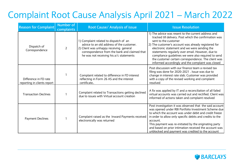### Complaint Root Cause Analysis April 2021 – March 2022

| <b>Reason for Complaint</b>                          | <b>Number of</b><br>complaints | Root Cause/ Analysis of issue                                                                                                                                                                                              | <b>Issue Resolution</b>                                                                                                                                                                                                                                                                                                                                                                                                                                              |
|------------------------------------------------------|--------------------------------|----------------------------------------------------------------------------------------------------------------------------------------------------------------------------------------------------------------------------|----------------------------------------------------------------------------------------------------------------------------------------------------------------------------------------------------------------------------------------------------------------------------------------------------------------------------------------------------------------------------------------------------------------------------------------------------------------------|
| Dispatch of<br>Correspondence                        | $\overline{2}$                 | 1) Complaint related to dispatch of an<br>advice to an old address of the customer.<br>2) Client was unhappy receiving general<br>correspondence from the bank and claimed that<br>he was not receiving his a/c statements | 1) The advice was resent to the current address and<br>tracked till delivery. Post which the confirmation was<br>sent to the customer<br>2) The customer's account was already registered for<br>electronic statement and we were sending the<br>statements regularly over email. However, due to<br>compliance guidelines we were also required to send<br>the customer certain correspondence. The client was<br>informed accordingly and the complaint was closed |
| Difference in FD rate<br>reporting in clients report |                                | Complaint related to difference in FD interest<br>reflecting in Form 26 AS and the interest<br>certificate                                                                                                                 | Post discussion with our finance team a revised tax<br>filing was done for 2020-2021 . Issue was due to<br>change in interest rate slab. Customer was provided<br>with a copy of the revised working and complaint<br>resolved                                                                                                                                                                                                                                       |
| <b>Transaction Declines</b>                          |                                | Complaint related to Transactions getting declined<br>due to issues with Virtual account creation                                                                                                                          | A fix was applied by IT and a reconciliation of all failed<br>virtual accounts was carried out and rectified. Client was<br>informed of actions taken and complaint resolved                                                                                                                                                                                                                                                                                         |
| <b>Payment Declines</b>                              |                                | Complaint raised as the Inward Payments received<br>electronically was returned                                                                                                                                            | Post investigation it was observed that the said account<br>was opened under RBI Portfolio Investment Scheme due<br>to which the account was under debit and credit freeze<br>in order to allow only specific debits and credits to the<br>account.<br>This payment was re-initiated by the originating party<br>and based on prior intimation received the account was<br>unblocked and payment was credited to the account                                         |